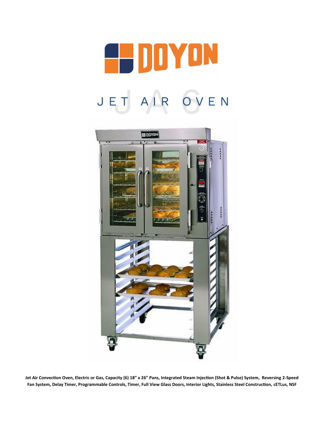



**Jet Air Convection Oven, Electric or Gas, Capacity (6) 18" x 26" Pans, Integrated Steam Injection (Shot & Pulse) System, Reversing 2-Speed Fan System, Delay Timer, Programmable Controls, Timer, Full View Glass Doors, Interior Lights, Stainless Steel Construction, cETLus, NSF**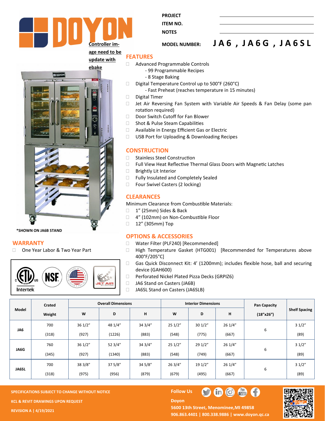

**PROJECT** 

**ITEM NO. NOTES** 

**MODEL NUMBER: J A 6 , J A 6 G , J A 6 S L**

## **FEATURES**



**\*SHOWN ON JA6B STAND**

#### **WARRANTY**

□ One Year Labor & Two Year Part



- Advanced Programmable Controls
	- 99 Programmable Recipes
	- 8 Stage Baking
- Digital Temperature Control up to  $500^{\circ}$ F (260 $^{\circ}$ C)
	- Fast Preheat (reaches temperature in 15 minutes)
- Digital Timer
- $\Box$  Jet Air Reversing Fan System with Variable Air Speeds & Fan Delay (some pan rotation required)
- Door Switch Cutoff for Fan Blower
- □ Shot & Pulse Steam Capabilities
- □ Available in Energy Efficient Gas or Electric
- □ USB Port for Uploading & Downloading Recipes

#### **CONSTRUCTION**

- □ Stainless Steel Construction
- Full View Heat Reflective Thermal Glass Doors with Magnetic Latches
- □ Brightly Lit Interior
- □ Fully Insulated and Completely Sealed
- □ Four Swivel Casters (2 locking)

# **CLEARANCES**

Minimum Clearance from Combustible Materials:

- 1" (25mm) Sides & Back
- □ 4" (102mm) on Non-Combustible Floor
- □ 12" (305mm) Top

### **OPTIONS & ACCESSORIES**

- □ Water Filter (PLF240) [Recommended]
- □ High Temperature Gasket (HTG001) [Recommended for Temperatures above 400°F/205°C]
- □ Gas Quick Disconnect Kit: 4' (1200mm); includes flexible hose, ball and securing device (GAH600)
- □ Perforated Nickel Plated Pizza Decks (GRPIZ6)
- □ JA6 Stand on Casters (JA6B)
- □ JA6SL Stand on Casters (JA6SLB)

| Model        | Crated |         | <b>Overall Dimensions</b> |         |        | <b>Interior Dimensions</b> |         | <b>Pan Capacity</b> | <b>Shelf Spacing</b> |
|--------------|--------|---------|---------------------------|---------|--------|----------------------------|---------|---------------------|----------------------|
|              | Weight | W       | D                         | н       | W      | D                          | н       | (18"x26")           |                      |
| JA6          | 700    | 361/2"  | 48 1/4"                   | 34 3/4" | 251/2" | 301/2"                     | 26 1/4" |                     | 31/2"                |
|              | (318)  | (927)   | (1226)                    | (883)   | (548)  | (775)                      | (667)   | 6                   | (89)                 |
| JA6G         | 760    | 361/2"  | 52 3/4"                   | 34 3/4" | 251/2" | 29 1/2"                    | 26 1/4" |                     | 31/2"                |
|              | (345)  | (927)   | (1340)                    | (883)   | (548)  | (749)                      | (667)   | 6                   | (89)                 |
| <b>JA6SL</b> | 700    | 38 3/8" | 375/8"                    | 34 5/8" | 263/4" | 19 1/2"                    | 26 1/4" |                     | 31/2"                |
|              | (318)  | (975)   | (956)                     | (879)   | (679)  | (495)                      | (667)   | 6                   | (89)                 |

**Doyon** 

**SPECIFICATIONS SUBJECT TO CHANGE WITHOUT NOTICE Follow Use The Follow Use The Follow Use The Follow Use The Follow Use The Follow Use The Follow Use The Follow Use The Follow Use The Follow Use The Follow Use The Follow KCL & REVIT DRAWINGS UPON REQUEST** 

**REVISION A | 4/19/2021**

## 5600 13th Street, Menominee, MI 49858 **906.863.4401 | 800.338.9886 | [www.doyon.qc.ca](http://www.doyon.qc.ca/)**

th C